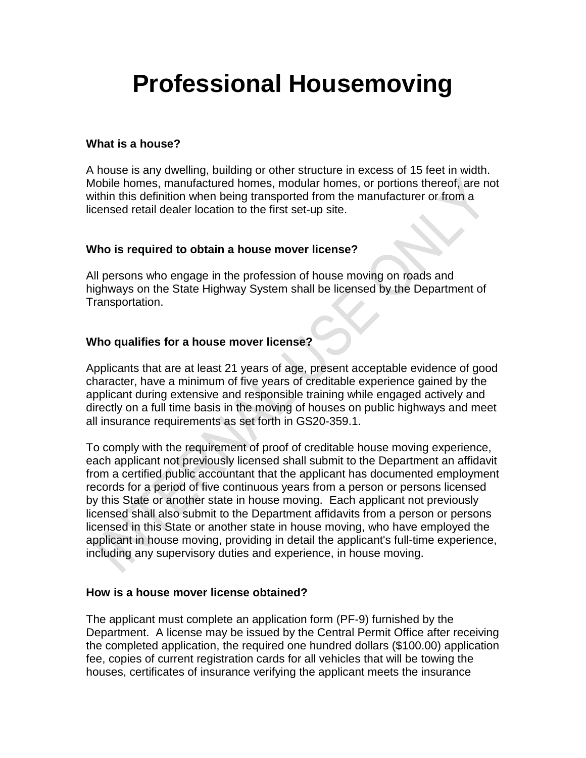# **Professional Housemoving**

#### **What is a house?**

A house is any dwelling, building or other structure in excess of 15 feet in width. Mobile homes, manufactured homes, modular homes, or portions thereof, are not within this definition when being transported from the manufacturer or from a licensed retail dealer location to the first set-up site.

# **Who is required to obtain a house mover license?**

All persons who engage in the profession of house moving on roads and highways on the State Highway System shall be licensed by the Department of Transportation.

# **Who qualifies for a house mover license?**

Applicants that are at least 21 years of age, present acceptable evidence of good character, have a minimum of five years of creditable experience gained by the applicant during extensive and responsible training while engaged actively and directly on a full time basis in the moving of houses on public highways and meet all insurance requirements as set forth in GS20-359.1.

To comply with the requirement of proof of creditable house moving experience, each applicant not previously licensed shall submit to the Department an affidavit from a certified public accountant that the applicant has documented employment records for a period of five continuous years from a person or persons licensed by this State or another state in house moving. Each applicant not previously licensed shall also submit to the Department affidavits from a person or persons licensed in this State or another state in house moving, who have employed the applicant in house moving, providing in detail the applicant's full-time experience, including any supervisory duties and experience, in house moving.

# **How is a house mover license obtained?**

The applicant must complete an application form (PF-9) furnished by the Department. A license may be issued by the Central Permit Office after receiving the completed application, the required one hundred dollars (\$100.00) application fee, copies of current registration cards for all vehicles that will be towing the houses, certificates of insurance verifying the applicant meets the insurance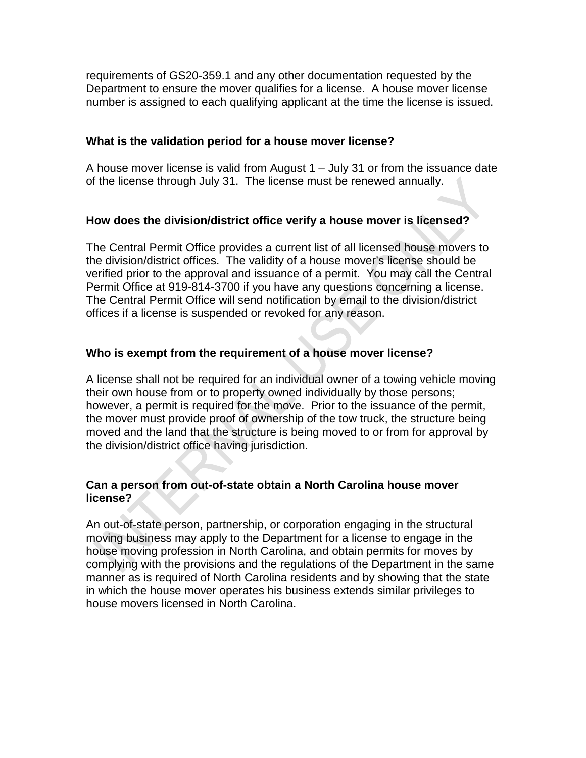requirements of GS20-359.1 and any other documentation requested by the Department to ensure the mover qualifies for a license. A house mover license number is assigned to each qualifying applicant at the time the license is issued.

# **What is the validation period for a house mover license?**

A house mover license is valid from August 1 – July 31 or from the issuance date of the license through July 31. The license must be renewed annually.

# **How does the division/district office verify a house mover is licensed?**

The Central Permit Office provides a current list of all licensed house movers to the division/district offices. The validity of a house mover's license should be verified prior to the approval and issuance of a permit. You may call the Central Permit Office at 919-814-3700 if you have any questions concerning a license. The Central Permit Office will send notification by email to the division/district offices if a license is suspended or revoked for any reason.

# **Who is exempt from the requirement of a house mover license?**

A license shall not be required for an individual owner of a towing vehicle moving their own house from or to property owned individually by those persons; however, a permit is required for the move. Prior to the issuance of the permit, the mover must provide proof of ownership of the tow truck, the structure being moved and the land that the structure is being moved to or from for approval by the division/district office having jurisdiction.

# **Can a person from out-of-state obtain a North Carolina house mover license?**

An out-of-state person, partnership, or corporation engaging in the structural moving business may apply to the Department for a license to engage in the house moving profession in North Carolina, and obtain permits for moves by complying with the provisions and the regulations of the Department in the same manner as is required of North Carolina residents and by showing that the state in which the house mover operates his business extends similar privileges to house movers licensed in North Carolina.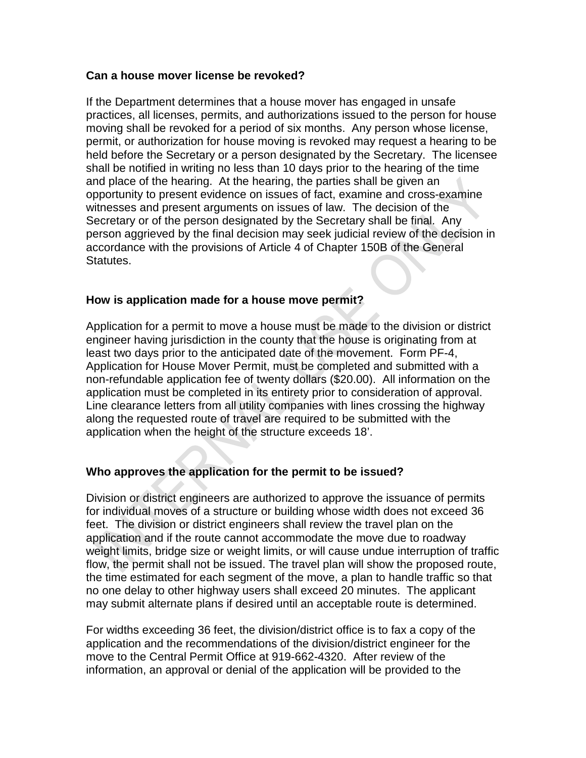#### **Can a house mover license be revoked?**

If the Department determines that a house mover has engaged in unsafe practices, all licenses, permits, and authorizations issued to the person for house moving shall be revoked for a period of six months. Any person whose license, permit, or authorization for house moving is revoked may request a hearing to be held before the Secretary or a person designated by the Secretary. The licensee shall be notified in writing no less than 10 days prior to the hearing of the time and place of the hearing. At the hearing, the parties shall be given an opportunity to present evidence on issues of fact, examine and cross-examine witnesses and present arguments on issues of law. The decision of the Secretary or of the person designated by the Secretary shall be final. Any person aggrieved by the final decision may seek judicial review of the decision in accordance with the provisions of Article 4 of Chapter 150B of the General Statutes.

# **How is application made for a house move permit?**

Application for a permit to move a house must be made to the division or district engineer having jurisdiction in the county that the house is originating from at least two days prior to the anticipated date of the movement. Form PF-4, Application for House Mover Permit, must be completed and submitted with a non-refundable application fee of twenty dollars (\$20.00). All information on the application must be completed in its entirety prior to consideration of approval. Line clearance letters from all utility companies with lines crossing the highway along the requested route of travel are required to be submitted with the application when the height of the structure exceeds 18'.

# **Who approves the application for the permit to be issued?**

Division or district engineers are authorized to approve the issuance of permits for individual moves of a structure or building whose width does not exceed 36 feet. The division or district engineers shall review the travel plan on the application and if the route cannot accommodate the move due to roadway weight limits, bridge size or weight limits, or will cause undue interruption of traffic flow, the permit shall not be issued. The travel plan will show the proposed route, the time estimated for each segment of the move, a plan to handle traffic so that no one delay to other highway users shall exceed 20 minutes. The applicant may submit alternate plans if desired until an acceptable route is determined.

For widths exceeding 36 feet, the division/district office is to fax a copy of the application and the recommendations of the division/district engineer for the move to the Central Permit Office at 919-662-4320. After review of the information, an approval or denial of the application will be provided to the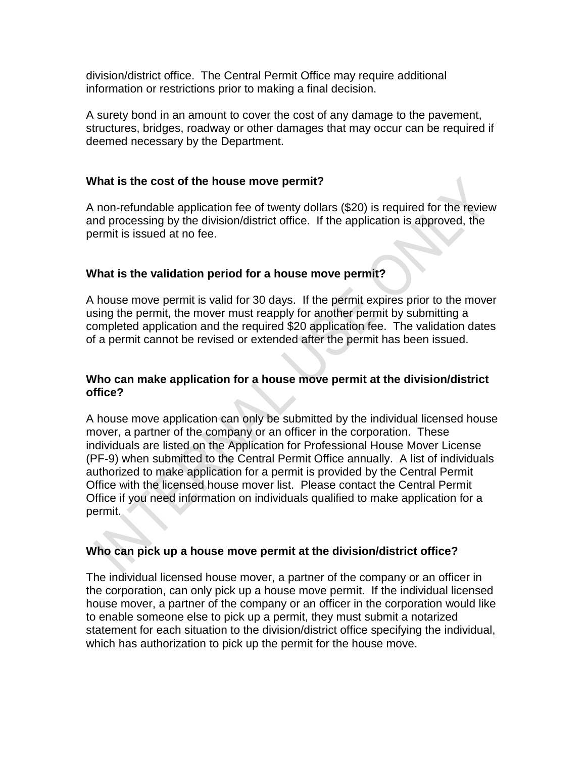division/district office. The Central Permit Office may require additional information or restrictions prior to making a final decision.

A surety bond in an amount to cover the cost of any damage to the pavement, structures, bridges, roadway or other damages that may occur can be required if deemed necessary by the Department.

# **What is the cost of the house move permit?**

A non-refundable application fee of twenty dollars (\$20) is required for the review and processing by the division/district office. If the application is approved, the permit is issued at no fee.

# **What is the validation period for a house move permit?**

A house move permit is valid for 30 days. If the permit expires prior to the mover using the permit, the mover must reapply for another permit by submitting a completed application and the required \$20 application fee. The validation dates of a permit cannot be revised or extended after the permit has been issued.

#### **Who can make application for a house move permit at the division/district office?**

A house move application can only be submitted by the individual licensed house mover, a partner of the company or an officer in the corporation. These individuals are listed on the Application for Professional House Mover License (PF-9) when submitted to the Central Permit Office annually. A list of individuals authorized to make application for a permit is provided by the Central Permit Office with the licensed house mover list. Please contact the Central Permit Office if you need information on individuals qualified to make application for a permit.

# **Who can pick up a house move permit at the division/district office?**

The individual licensed house mover, a partner of the company or an officer in the corporation, can only pick up a house move permit. If the individual licensed house mover, a partner of the company or an officer in the corporation would like to enable someone else to pick up a permit, they must submit a notarized statement for each situation to the division/district office specifying the individual, which has authorization to pick up the permit for the house move.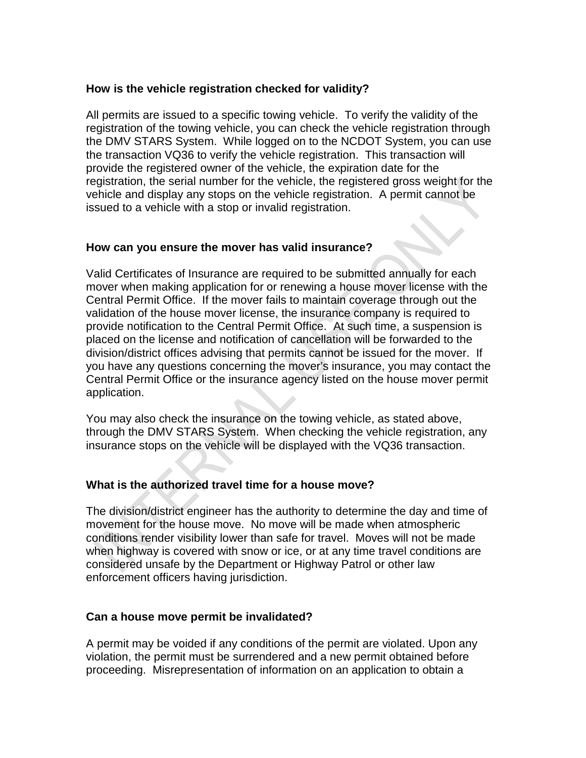# **How is the vehicle registration checked for validity?**

All permits are issued to a specific towing vehicle. To verify the validity of the registration of the towing vehicle, you can check the vehicle registration through the DMV STARS System. While logged on to the NCDOT System, you can use the transaction VQ36 to verify the vehicle registration. This transaction will provide the registered owner of the vehicle, the expiration date for the registration, the serial number for the vehicle, the registered gross weight for the vehicle and display any stops on the vehicle registration. A permit cannot be issued to a vehicle with a stop or invalid registration.

# **How can you ensure the mover has valid insurance?**

Valid Certificates of Insurance are required to be submitted annually for each mover when making application for or renewing a house mover license with the Central Permit Office. If the mover fails to maintain coverage through out the validation of the house mover license, the insurance company is required to provide notification to the Central Permit Office. At such time, a suspension is placed on the license and notification of cancellation will be forwarded to the division/district offices advising that permits cannot be issued for the mover. If you have any questions concerning the mover's insurance, you may contact the Central Permit Office or the insurance agency listed on the house mover permit application.

You may also check the insurance on the towing vehicle, as stated above, through the DMV STARS System. When checking the vehicle registration, any insurance stops on the vehicle will be displayed with the VQ36 transaction.

# **What is the authorized travel time for a house move?**

The division/district engineer has the authority to determine the day and time of movement for the house move. No move will be made when atmospheric conditions render visibility lower than safe for travel. Moves will not be made when highway is covered with snow or ice, or at any time travel conditions are considered unsafe by the Department or Highway Patrol or other law enforcement officers having jurisdiction.

# **Can a house move permit be invalidated?**

A permit may be voided if any conditions of the permit are violated. Upon any violation, the permit must be surrendered and a new permit obtained before proceeding. Misrepresentation of information on an application to obtain a